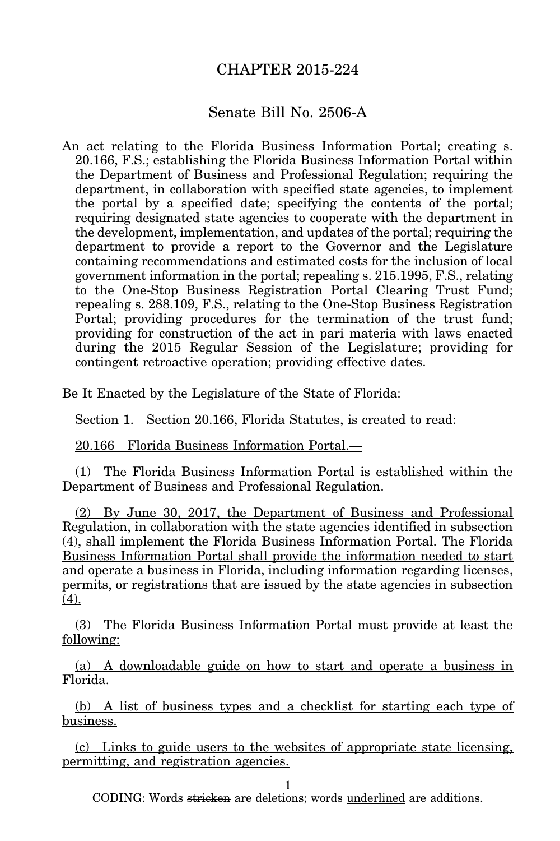## CHAPTER 2015-224

## Senate Bill No. 2506-A

An act relating to the Florida Business Information Portal; creating s. 20.166, F.S.; establishing the Florida Business Information Portal within the Department of Business and Professional Regulation; requiring the department, in collaboration with specified state agencies, to implement the portal by a specified date; specifying the contents of the portal; requiring designated state agencies to cooperate with the department in the development, implementation, and updates of the portal; requiring the department to provide a report to the Governor and the Legislature containing recommendations and estimated costs for the inclusion of local government information in the portal; repealing s. 215.1995, F.S., relating to the One-Stop Business Registration Portal Clearing Trust Fund; repealing s. 288.109, F.S., relating to the One-Stop Business Registration Portal; providing procedures for the termination of the trust fund; providing for construction of the act in pari materia with laws enacted during the 2015 Regular Session of the Legislature; providing for contingent retroactive operation; providing effective dates.

Be It Enacted by the Legislature of the State of Florida:

Section 1. Section 20.166, Florida Statutes, is created to read:

20.166 Florida Business Information Portal.—

(1) The Florida Business Information Portal is established within the Department of Business and Professional Regulation.

(2) By June 30, 2017, the Department of Business and Professional Regulation, in collaboration with the state agencies identified in subsection (4), shall implement the Florida Business Information Portal. The Florida Business Information Portal shall provide the information needed to start and operate a business in Florida, including information regarding licenses, permits, or registrations that are issued by the state agencies in subsection (4).

(3) The Florida Business Information Portal must provide at least the following:

(a) A downloadable guide on how to start and operate a business in Florida.

(b) A list of business types and a checklist for starting each type of business.

(c) Links to guide users to the websites of appropriate state licensing, permitting, and registration agencies.

1

CODING: Words stricken are deletions; words underlined are additions.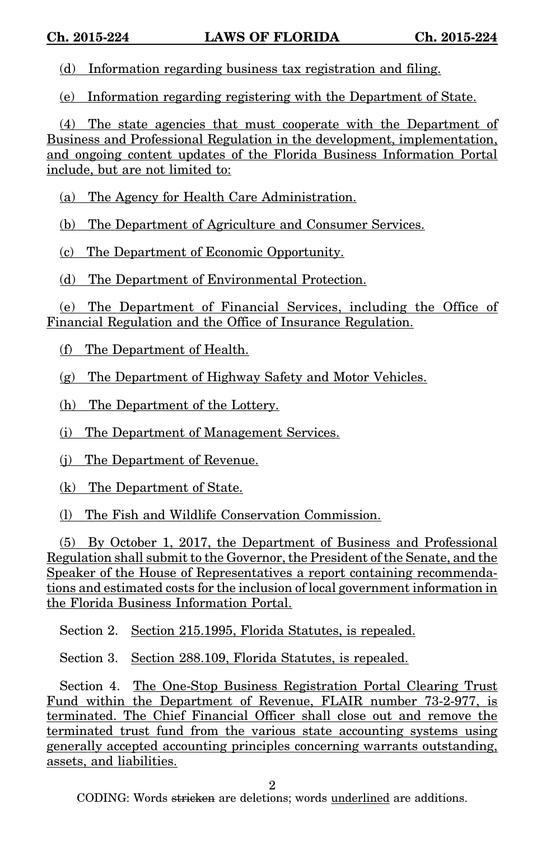(d) Information regarding business tax registration and filing.

(e) Information regarding registering with the Department of State.

(4) The state agencies that must cooperate with the Department of Business and Professional Regulation in the development, implementation, and ongoing content updates of the Florida Business Information Portal include, but are not limited to:

(a) The Agency for Health Care Administration.

(b) The Department of Agriculture and Consumer Services.

(c) The Department of Economic Opportunity.

(d) The Department of Environmental Protection.

(e) The Department of Financial Services, including the Office of Financial Regulation and the Office of Insurance Regulation.

(f) The Department of Health.

(g) The Department of Highway Safety and Motor Vehicles.

(h) The Department of the Lottery.

(i) The Department of Management Services.

(j) The Department of Revenue.

(k) The Department of State.

(l) The Fish and Wildlife Conservation Commission.

(5) By October 1, 2017, the Department of Business and Professional Regulation shall submit to the Governor, the President of the Senate, and the Speaker of the House of Representatives a report containing recommendations and estimated costs for the inclusion of local government information in the Florida Business Information Portal.

Section 2. Section 215.1995, Florida Statutes, is repealed.

Section 3. Section 288.109, Florida Statutes, is repealed.

Section 4. The One-Stop Business Registration Portal Clearing Trust Fund within the Department of Revenue, FLAIR number 73-2-977, is terminated. The Chief Financial Officer shall close out and remove the terminated trust fund from the various state accounting systems using generally accepted accounting principles concerning warrants outstanding, assets, and liabilities.

2

CODING: Words stricken are deletions; words underlined are additions.